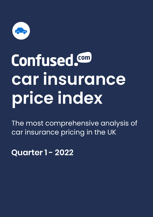

# **Confused.** Com **car insurance price index**

The most comprehensive analysis of car insurance pricing in the UK

**Quarter 1 - 2022**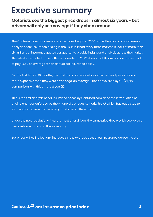#### **Executive summary**

**Motorists see the biggest price drops in almost six years - but drivers will only see savings if they shop around.**

The Confused.com car insurance price index began in 2006 and is the most comprehensive analysis of car insurance pricing in the UK. Published every three months, it looks at more than six million car insurance quotes per quarter to provide insight and analysis across the market. The latest index, which covers the first quarter of 2022, shows that UK drivers can now expect to pay £550 on average for an annual car insurance policy.

For the first time in 18 months, the cost of car insurance has increased and prices are now more expensive than they were a year ago, on average. Prices have risen by £12 (2%) in comparison with this time last year(1).

This is the first analysis of car insurance prices by Confused.com since the introduction of pricing changes enforced by the Financial Conduct Authority (FCA), which has put a stop to insurers pricing new and renewing customers differently.

Under the new regulations, insurers must offer drivers the same price they would receive as a new customer buying in the same way.

But prices will still reflect any increases in the average cost of car insurance across the UK.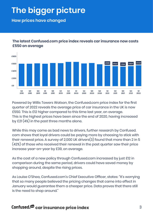# **The bigger picture**

**How prices have changed** 



**The latest Confused.com price index reveals car insurance now costs £550 on average**

Powered by Willis Towers Watson, the Confused.com price index for the first quarter of 2022 reveals the average price of car insurance in the UK is now £550. This is £12 higher compared to this time last year, on average. This is the highest prices have been since the end of 2020, having increased by £21 (4%) in the past three months alone.

While this may come as bad news to drivers, further research by Confused. com shows that loyal drivers could be paying more by choosing to stick with their renewal price. A survey of 2,000 UK drivers(3) found that more than 2 in 5 (42%) of those who received their renewal in the past quarter saw their price increase year-on-year by £39, on average.

As the cost of a new policy through Confused.com increased by just £12 in comparison during the same period, drivers could have saved money by shopping around, despite the rising prices.

As Louise O'Shea, Confused.com's Chief Executive Officer, states: "It's worrying that so many people believed the pricing changes that came into effect in January would guarantee them a cheaper price. Data proves that there still is the need to shop around."

#### **Confused. @ car insurance price index** 3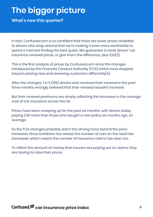## **The bigger picture**

**What's new this quarter?**

In fact, Confused.com is so confident that there are lower prices available to drivers who shop around that we're making it even more worthwhile to spend a moment finding the best quote. We guarantee to beat drivers' car insurance renewal prices, or give them the difference, plus £20(2).

This is the first analysis of prices by Confused.com since the changes introduced by the Financial Conduct Authority (FCA) which have stopped insurers pricing new and renewing customers differently $(4)$ .

After the changes, 1 in 5 (19%) drivers who received their renewal in the past three months wrongly believed that their renewal wouldn't increase.

But their renewal premiums are simply reflecting the increases in the average cost of car insurance across the UK.

Prices have been creeping up for the past six months, with drivers today paying £36 more than those who bought a new policy six months ago, on average.

So the FCA changes probably aren't the driving force behind the price increases. Since lockdown has eased, the number of cars on the road has increased, which means the number of insurance claims has risen too.

To reflect the amount of money that insurers are paying out on claims, they are having to raise their prices.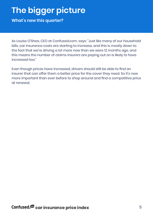# **The bigger picture**

**What's new this quarter?**

As Louise O'Shea, CEO at Confused.com, says: "Just like many of our household bills, car insurance costs are starting to increase, and this is mostly down to the fact that we're driving a lot more now than we were 12 months ago, and this means the number of claims insurers are paying out on is likely to have increased too."

Even though prices have increased, drivers should still be able to find an insurer that can offer them a better price for the cover they need. So it's now more important than ever before to shop around and find a competitive price at renewal.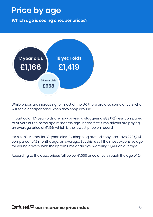#### **Price by age**

**Which age is seeing cheaper prices?**



While prices are increasing for most of the UK, there are also some drivers who will see a cheaper price when they shop around.

In particular, 17-year-olds are now paying a staggering £83 (7%) less compared to drivers of the same age 12 months ago. In fact, first-time drivers are paying an average price of £1,166, which is the lowest price on record.

It's a similar story for 18-year-olds. By shopping around, they can save £23 (2%) compared to 12 months ago, on average. But this is still the most expensive age for young drivers, with their premiums at an eye-watering £1,419, on average.

According to the data, prices fall below £1,000 once drivers reach the age of 24.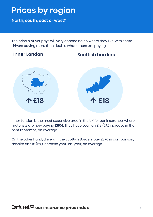## **Prices by region**

**North, south, east or west?**

The price a driver pays will vary depending on where they live, with some drivers paying more than double what others are paying.

#### **Inner London**





Inner London is the most expensive area in the UK for car insurance, where motorists are now paying £864. They have seen an £18 (2%) increase in the past 12 months, on average.

On the other hand, drivers in the Scottish Borders pay £370 in comparison, despite an £18 (5%) increase year-on-year, on average.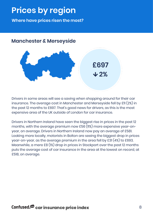## **Prices by region**

**Where have prices risen the most?**

#### **Manchester & Merseyside**



Drivers in some areas will see a saving when shopping around for their car insurance. The average cost in Manchester and Merseyside fell by £11 (2%) in the past 12 months to £697. That's good news for drivers, as this is the most expensive area of the UK outside of London for car insurance.

Drivers in Northern Ireland have seen the biggest rise in prices in the past 12 months, with the average premium now £56 (11%) more expensive year-onyear, on average. Drivers in Northern Ireland now pay an average of £581. Looking more locally, motorists in Bolton are seeing the biggest drop in prices year-on-year, as the average premium in the area fell by £31 (4%) to £693. Meanwhile, a mere £8 (1%) drop in prices in Stockport over the past 12 months puts the average cost of car insurance in the area at the lowest on record, at £518, on average.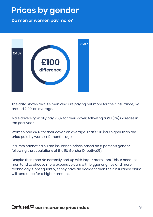### **Prices by gender**

**Do men or women pay more?**



The data shows that it's men who are paying out more for their insurance, by around £100, on average.

Male drivers typically pay £587 for their cover, following a £13 (2%) increase in the past year.

Women pay £487 for their cover, on average. That's £10 (2%) higher than the price paid by women 12 months ago.

Insurers cannot calculate insurance prices based on a person's gender, following the stipulations of the EU Gender Directive(5).

Despite that, men do normally end up with larger premiums. This is because men tend to choose more expensive cars with bigger engines and more technology. Consequently, if they have an accident then their insurance claim will tend to be for a higher amount.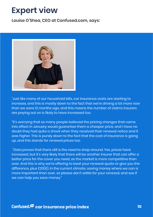#### **Expert view**

**Louise O'Shea, CEO at Confused.com, says:**



"Just like many of our household bills, car insurance costs are starting to increase, and this is mostly down to the fact that we're driving a lot more now than we were 12 months ago, and this means the number of claims insurers are paying out on is likely to have increased too.

"It's worrying that so many people believed the pricing changes that came into effect in January would guarantee them a cheaper price, and I have no doubt they had quite a shock when they received their renewal notice and it was higher. This is purely down to the fact that the cost of insurance is going up, and this stands for renewal prices too.

 "Data proves that there still is the need to shop around. Yes, prices have increased, but it's very likely that there will be another insurer that can offer a better price for the cover you need, as the market is more competitive than ever. And this is why we're offering to beat your renewal quote or give you the difference, plus £20(6). In the current climate, saving money where we can is more important than ever, so please don't settle for your renewal, and see if we can help you save money."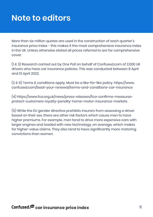#### **Note to editors**

More than six million quotes are used in the construction of each quarter's insurance price index - this makes it the most comprehensive insurance index in the UK. Unless otherwise stated all prices referred to are for comprehensive cover.

(1 & 3) Research carried out by One Poll on behalf of Confused.com of 2,000 UK drivers who have car insurance policies. This was conducted between 8 April and 13 April 2022.

(2 & 6) Terms & conditions apply. Must be a like-for-like policy. https://www. confused.com/beat-your-renewal/terms-and-conditions-car-insurance

(4) https://www.fca.org.uk/news/press-releases/fca-confirms-measuresprotect-customers-loyalty-penalty-home-motor-insurance-markets

(5) While the EU gender directive prohibits insurers from assessing a driver based on their sex, there are other risk factors which cause men to have higher premiums. For example, men tend to drive more expensive cars with larger engines and loaded with new technology, on average, which makes for higher-value claims. They also tend to have significantly more motoring convictions than women.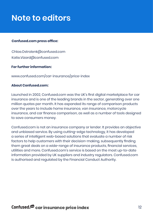### **Note to editors**

#### **Confused.com press office:**

Chloe.Ostrolenk@confused.com Katie.Vizard@confused.com

#### **For further information:**

www.confused.com/car-insurance/price-index

#### **About Confused.com:**

Launched in 2002, Confused.com was the UK's first digital marketplace for car insurance and is one of the leading brands in the sector, generating over one million quotes per month. It has expanded its range of comparison products over the years to include home insurance, van insurance, motorcycle insurance, and car finance comparison, as well as a number of tools designed to save consumers money.

Confused.com is not an insurance company or lender. It provides an objective and unbiased service. By using cutting-edge technology, it has developed a series of intelligent web-based solutions that evaluate a number of risk factors to help customers with their decision-making, subsequently finding them great deals on a wide-range of insurance products, financial services, utilities and more. Confused.com's service is based on the most up-to-date information provided by UK suppliers and industry regulators. Confused.com is authorised and regulated by the Financial Conduct Authority.